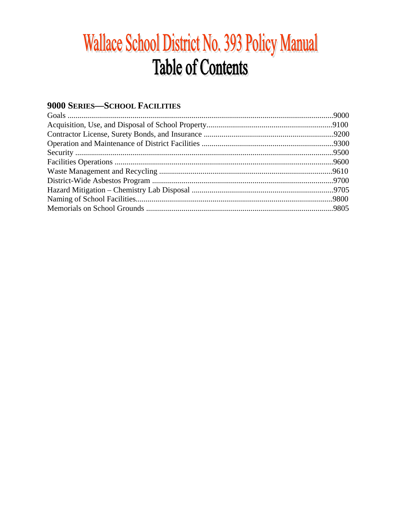# Wallace School District No. 393 Policy Manual **Table of Contents**

## **9000 SERIES-SCHOOL FACILITIES**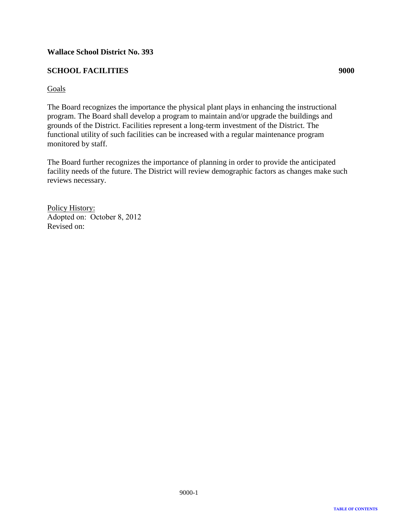## <span id="page-1-0"></span>**SCHOOL FACILITIES 9000**

#### Goals

The Board recognizes the importance the physical plant plays in enhancing the instructional program. The Board shall develop a program to maintain and/or upgrade the buildings and grounds of the District. Facilities represent a long-term investment of the District. The functional utility of such facilities can be increased with a regular maintenance program monitored by staff.

The Board further recognizes the importance of planning in order to provide the anticipated facility needs of the future. The District will review demographic factors as changes make such reviews necessary.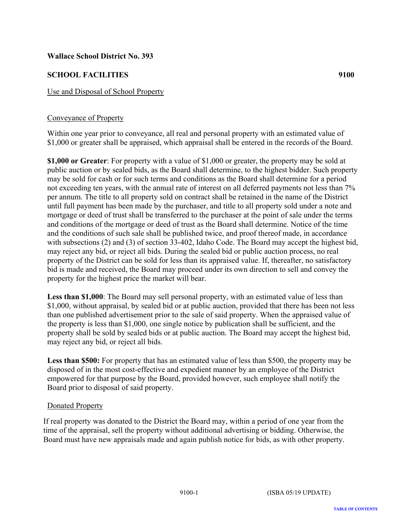## <span id="page-2-0"></span>**SCHOOL FACILITIES 9100**

## Use and Disposal of School Property

## Conveyance of Property

Within one year prior to conveyance, all real and personal property with an estimated value of \$1,000 or greater shall be appraised, which appraisal shall be entered in the records of the Board.

**\$1,000 or Greater**: For property with a value of \$1,000 or greater, the property may be sold at public auction or by sealed bids, as the Board shall determine, to the highest bidder. Such property may be sold for cash or for such terms and conditions as the Board shall determine for a period not exceeding ten years, with the annual rate of interest on all deferred payments not less than 7% per annum. The title to all property sold on contract shall be retained in the name of the District until full payment has been made by the purchaser, and title to all property sold under a note and mortgage or deed of trust shall be transferred to the purchaser at the point of sale under the terms and conditions of the mortgage or deed of trust as the Board shall determine. Notice of the time and the conditions of such sale shall be published twice, and proof thereof made, in accordance with subsections (2) and (3) of section 33-402, Idaho Code. The Board may accept the highest bid, may reject any bid, or reject all bids. During the sealed bid or public auction process, no real property of the District can be sold for less than its appraised value. If, thereafter, no satisfactory bid is made and received, the Board may proceed under its own direction to sell and convey the property for the highest price the market will bear.

Less than \$1,000: The Board may sell personal property, with an estimated value of less than \$1,000, without appraisal, by sealed bid or at public auction, provided that there has been not less than one published advertisement prior to the sale of said property. When the appraised value of the property is less than \$1,000, one single notice by publication shall be sufficient, and the property shall be sold by sealed bids or at public auction. The Board may accept the highest bid, may reject any bid, or reject all bids.

**Less than \$500:** For property that has an estimated value of less than \$500, the property may be disposed of in the most cost-effective and expedient manner by an employee of the District empowered for that purpose by the Board, provided however, such employee shall notify the Board prior to disposal of said property.

#### Donated Property

If real property was donated to the District the Board may, within a period of one year from the time of the appraisal, sell the property without additional advertising or bidding. Otherwise, the Board must have new appraisals made and again publish notice for bids, as with other property.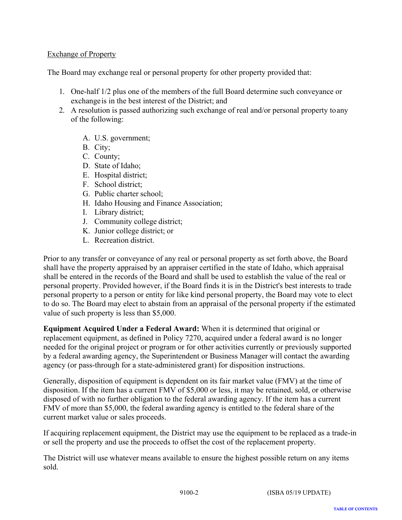## Exchange of Property

The Board may exchange real or personal property for other property provided that:

- 1. One-half 1/2 plus one of the members of the full Board determine such conveyance or exchange is in the best interest of the District; and
- 2. A resolution is passed authorizing such exchange of real and/or personal property to any of the following:
	- A. U.S. government;
	- B. City;
	- C. County;
	- D. State of Idaho;
	- E. Hospital district;
	- F. School district;
	- G. Public charter school;
	- H. Idaho Housing and Finance Association;
	- I. Library district;
	- J. Community college district;
	- K. Junior college district; or
	- L. Recreation district.

Prior to any transfer or conveyance of any real or personal property as set forth above, the Board shall have the property appraised by an appraiser certified in the state of Idaho, which appraisal shall be entered in the records of the Board and shall be used to establish the value of the real or personal property. Provided however, if the Board finds it is in the District's best interests to trade personal property to a person or entity for like kind personal property, the Board may vote to elect to do so. The Board may elect to abstain from an appraisal of the personal property if the estimated value of such property is less than \$5,000.

**Equipment Acquired Under a Federal Award:** When it is determined that original or replacement equipment, as defined in Policy 7270, acquired under a federal award is no longer needed for the original project or program or for other activities currently or previously supported by a federal awarding agency, the Superintendent or Business Manager will contact the awarding agency (or pass-through for a state-administered grant) for disposition instructions.

Generally, disposition of equipment is dependent on its fair market value (FMV) at the time of disposition. If the item has a current FMV of \$5,000 or less, it may be retained, sold, or otherwise disposed of with no further obligation to the federal awarding agency. If the item has a current FMV of more than \$5,000, the federal awarding agency is entitled to the federal share of the current market value or sales proceeds.

If acquiring replacement equipment, the District may use the equipment to be replaced as a trade-in or sell the property and use the proceeds to offset the cost of the replacement property.

The District will use whatever means available to ensure the highest possible return on any items sold.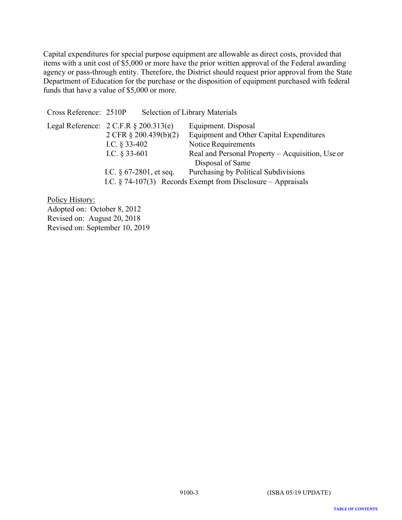Capital expenditures for special purpose equipment are allowable as direct costs, provided that items with a unit cost of \$5,000 or more have the prior written approval of the Federal awarding agency or pass-through entity. Therefore, the District should request prior approval from the State Department of Education for the purchase or the disposition of equipment purchased with federal funds that have a value of \$5,000 or more.

| Cross Reference: 2510P |                                                                                              |                            | <b>Selection of Library Materials</b>                                                                   |
|------------------------|----------------------------------------------------------------------------------------------|----------------------------|---------------------------------------------------------------------------------------------------------|
|                        | Legal Reference: $2 \text{ C.F.R } § 200.313(e)$<br>2 CFR § 200.439(b)(2)<br>I.C. $§$ 33-402 |                            | Equipment. Disposal<br>Equipment and Other Capital Expenditures<br>Notice Requirements                  |
|                        | I.C. $§$ 33-601                                                                              |                            | Real and Personal Property – Acquisition, Use or<br>Disposal of Same                                    |
|                        |                                                                                              | I.C. $\S$ 67-2801, et seq. | Purchasing by Political Subdivisions<br>I.C. $\S$ 74-107(3) Records Exempt from Disclosure – Appraisals |

Policy History: Adopted on: October 8, 2012 Revised on: August 20, 2018 Revised on: September 10, 2019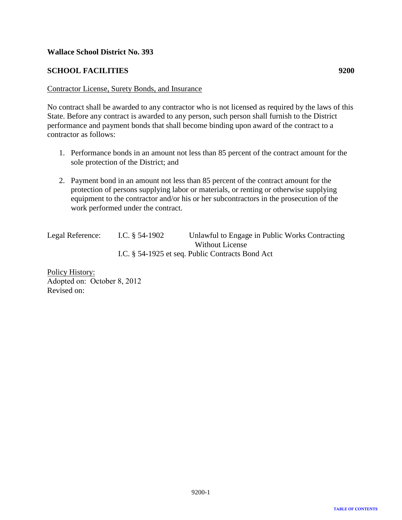## <span id="page-5-0"></span>**SCHOOL FACILITIES 9200**

#### Contractor License, Surety Bonds, and Insurance

No contract shall be awarded to any contractor who is not licensed as required by the laws of this State. Before any contract is awarded to any person, such person shall furnish to the District performance and payment bonds that shall become binding upon award of the contract to a contractor as follows:

- 1. Performance bonds in an amount not less than 85 percent of the contract amount for the sole protection of the District; and
- 2. Payment bond in an amount not less than 85 percent of the contract amount for the protection of persons supplying labor or materials, or renting or otherwise supplying equipment to the contractor and/or his or her subcontractors in the prosecution of the work performed under the contract.

I.C. § 54-1902 Unlawful to Engage in Public Works Contracting Without License I.C. § 54-1925 et seq. Public Contracts Bond Act Legal Reference: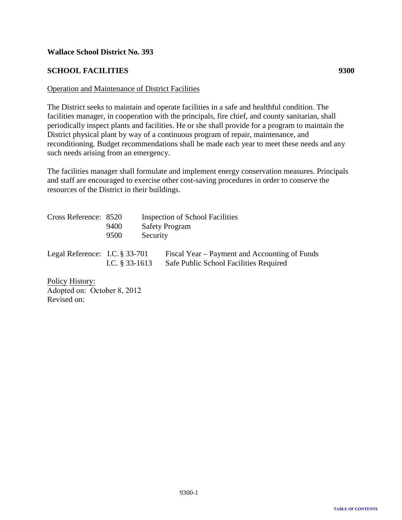## <span id="page-6-0"></span>**SCHOOL FACILITIES 9300**

#### Operation and Maintenance of District Facilities

The District seeks to maintain and operate facilities in a safe and healthful condition. The facilities manager, in cooperation with the principals, fire chief, and county sanitarian, shall periodically inspect plants and facilities. He or she shall provide for a program to maintain the District physical plant by way of a continuous program of repair, maintenance, and reconditioning. Budget recommendations shall be made each year to meet these needs and any such needs arising from an emergency.

The facilities manager shall formulate and implement energy conservation measures. Principals and staff are encouraged to exercise other cost-saving procedures in order to conserve the resources of the District in their buildings.

| Cross Reference: 8520             |                  | Inspection of School Facilities<br><b>Safety Program</b> |                                                                                         |  |
|-----------------------------------|------------------|----------------------------------------------------------|-----------------------------------------------------------------------------------------|--|
|                                   | 9400             |                                                          |                                                                                         |  |
|                                   | 9500             | Security                                                 |                                                                                         |  |
| Legal Reference: I.C. $\S 33-701$ | I.C. $§$ 33-1613 |                                                          | Fiscal Year – Payment and Accounting of Funds<br>Safe Public School Facilities Required |  |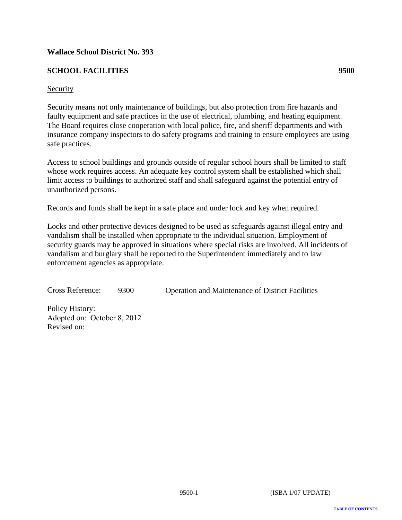## <span id="page-7-0"></span>**SCHOOL FACILITIES 9500**

#### **Security**

Security means not only maintenance of buildings, but also protection from fire hazards and faulty equipment and safe practices in the use of electrical, plumbing, and heating equipment. The Board requires close cooperation with local police, fire, and sheriff departments and with insurance company inspectors to do safety programs and training to ensure employees are using safe practices.

Access to school buildings and grounds outside of regular school hours shall be limited to staff whose work requires access. An adequate key control system shall be established which shall limit access to buildings to authorized staff and shall safeguard against the potential entry of unauthorized persons.

Records and funds shall be kept in a safe place and under lock and key when required.

Locks and other protective devices designed to be used as safeguards against illegal entry and vandalism shall be installed when appropriate to the individual situation. Employment of security guards may be approved in situations where special risks are involved. All incidents of vandalism and burglary shall be reported to the Superintendent immediately and to law enforcement agencies as appropriate.

Cross Reference: 9300 Operation and Maintenance of District Facilities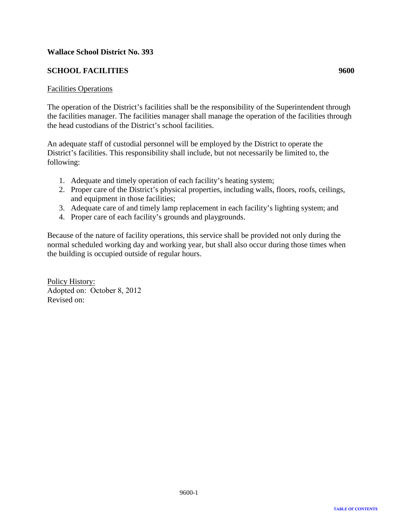## <span id="page-8-0"></span>**SCHOOL FACILITIES 9600**

#### Facilities Operations

The operation of the District's facilities shall be the responsibility of the Superintendent through the facilities manager. The facilities manager shall manage the operation of the facilities through the head custodians of the District's school facilities.

An adequate staff of custodial personnel will be employed by the District to operate the District's facilities. This responsibility shall include, but not necessarily be limited to, the following:

- 1. Adequate and timely operation of each facility's heating system;
- 2. Proper care of the District's physical properties, including walls, floors, roofs, ceilings, and equipment in those facilities;
- 3. Adequate care of and timely lamp replacement in each facility's lighting system; and
- 4. Proper care of each facility's grounds and playgrounds.

Because of the nature of facility operations, this service shall be provided not only during the normal scheduled working day and working year, but shall also occur during those times when the building is occupied outside of regular hours.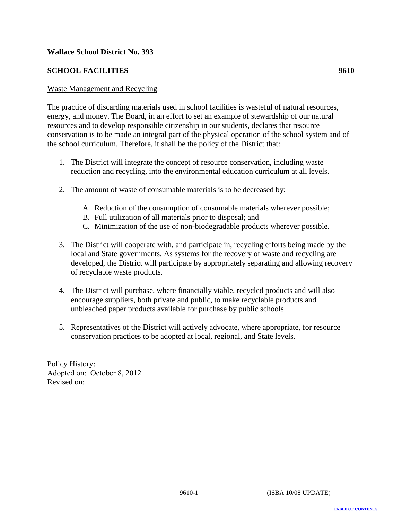## <span id="page-9-0"></span>**SCHOOL FACILITIES 9610**

#### Waste Management and Recycling

The practice of discarding materials used in school facilities is wasteful of natural resources, energy, and money. The Board, in an effort to set an example of stewardship of our natural resources and to develop responsible citizenship in our students, declares that resource conservation is to be made an integral part of the physical operation of the school system and of the school curriculum. Therefore, it shall be the policy of the District that:

- 1. The District will integrate the concept of resource conservation, including waste reduction and recycling, into the environmental education curriculum at all levels.
- 2. The amount of waste of consumable materials is to be decreased by:
	- A. Reduction of the consumption of consumable materials wherever possible;
	- B. Full utilization of all materials prior to disposal; and
	- C. Minimization of the use of non-biodegradable products wherever possible.
- 3. The District will cooperate with, and participate in, recycling efforts being made by the local and State governments. As systems for the recovery of waste and recycling are developed, the District will participate by appropriately separating and allowing recovery of recyclable waste products.
- 4. The District will purchase, where financially viable, recycled products and will also encourage suppliers, both private and public, to make recyclable products and unbleached paper products available for purchase by public schools.
- 5. Representatives of the District will actively advocate, where appropriate, for resource conservation practices to be adopted at local, regional, and State levels.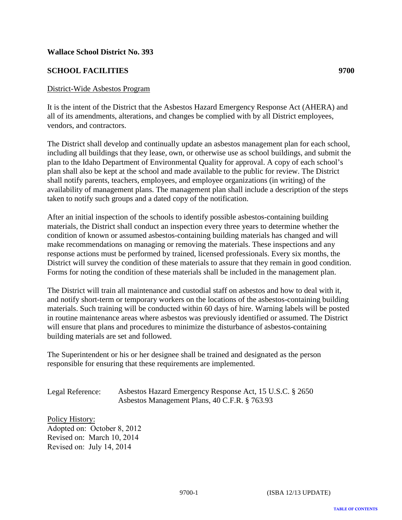## <span id="page-10-0"></span>**SCHOOL FACILITIES 9700**

#### District-Wide Asbestos Program

It is the intent of the District that the Asbestos Hazard Emergency Response Act (AHERA) and all of its amendments, alterations, and changes be complied with by all District employees, vendors, and contractors.

The District shall develop and continually update an asbestos management plan for each school, including all buildings that they lease, own, or otherwise use as school buildings, and submit the plan to the Idaho Department of Environmental Quality for approval. A copy of each school's plan shall also be kept at the school and made available to the public for review. The District shall notify parents, teachers, employees, and employee organizations (in writing) of the availability of management plans. The management plan shall include a description of the steps taken to notify such groups and a dated copy of the notification.

After an initial inspection of the schools to identify possible asbestos-containing building materials, the District shall conduct an inspection every three years to determine whether the condition of known or assumed asbestos-containing building materials has changed and will make recommendations on managing or removing the materials. These inspections and any response actions must be performed by trained, licensed professionals. Every six months, the District will survey the condition of these materials to assure that they remain in good condition. Forms for noting the condition of these materials shall be included in the management plan.

The District will train all maintenance and custodial staff on asbestos and how to deal with it, and notify short-term or temporary workers on the locations of the asbestos-containing building materials. Such training will be conducted within 60 days of hire. Warning labels will be posted in routine maintenance areas where asbestos was previously identified or assumed. The District will ensure that plans and procedures to minimize the disturbance of asbestos-containing building materials are set and followed.

The Superintendent or his or her designee shall be trained and designated as the person responsible for ensuring that these requirements are implemented.

Legal Reference:

Asbestos Hazard Emergency Response Act, 15 U.S.C. § 2650 Asbestos Management Plans, 40 C.F.R. § 763.93

Policy History: Adopted on: October 8, 2012 Revised on: March 10, 2014 Revised on: July 14, 2014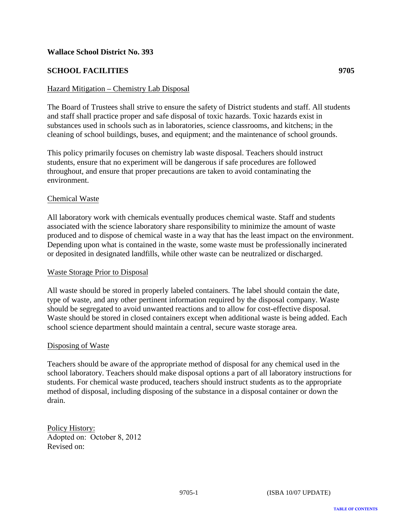## <span id="page-11-0"></span>**SCHOOL FACILITIES 9705**

#### Hazard Mitigation – Chemistry Lab Disposal

The Board of Trustees shall strive to ensure the safety of District students and staff. All students and staff shall practice proper and safe disposal of toxic hazards. Toxic hazards exist in substances used in schools such as in laboratories, science classrooms, and kitchens; in the cleaning of school buildings, buses, and equipment; and the maintenance of school grounds.

This policy primarily focuses on chemistry lab waste disposal. Teachers should instruct students, ensure that no experiment will be dangerous if safe procedures are followed throughout, and ensure that proper precautions are taken to avoid contaminating the environment.

#### Chemical Waste

All laboratory work with chemicals eventually produces chemical waste. Staff and students associated with the science laboratory share responsibility to minimize the amount of waste produced and to dispose of chemical waste in a way that has the least impact on the environment. Depending upon what is contained in the waste, some waste must be professionally incinerated or deposited in designated landfills, while other waste can be neutralized or discharged.

#### Waste Storage Prior to Disposal

All waste should be stored in properly labeled containers. The label should contain the date, type of waste, and any other pertinent information required by the disposal company. Waste should be segregated to avoid unwanted reactions and to allow for cost-effective disposal. Waste should be stored in closed containers except when additional waste is being added. Each school science department should maintain a central, secure waste storage area.

#### Disposing of Waste

Teachers should be aware of the appropriate method of disposal for any chemical used in the school laboratory. Teachers should make disposal options a part of all laboratory instructions for students. For chemical waste produced, teachers should instruct students as to the appropriate method of disposal, including disposing of the substance in a disposal container or down the drain.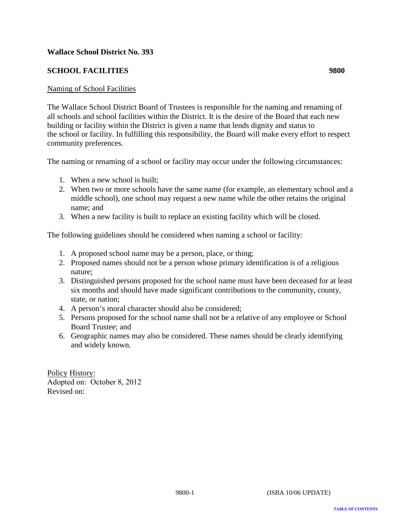## <span id="page-12-0"></span>**SCHOOL FACILITIES 9800**

#### Naming of School Facilities

The Wallace School District Board of Trustees is responsible for the naming and renaming of all schools and school facilities within the District. It is the desire of the Board that each new building or facility within the District is given a name that lends dignity and status to the school or facility. In fulfilling this responsibility, the Board will make every effort to respect community preferences.

The naming or renaming of a school or facility may occur under the following circumstances:

- 1. When a new school is built;
- 2. When two or more schools have the same name (for example, an elementary school and a middle school), one school may request a new name while the other retains the original name; and
- 3. When a new facility is built to replace an existing facility which will be closed.

The following guidelines should be considered when naming a school or facility:

- 1. A proposed school name may be a person, place, or thing;
- 2. Proposed names should not be a person whose primary identification is of a religious nature;
- 3. Distinguished persons proposed for the school name must have been deceased for at least six months and should have made significant contributions to the community, county, state, or nation;
- 4. A person's moral character should also be considered;
- 5. Persons proposed for the school name shall not be a relative of any employee or School Board Trustee; and
- 6. Geographic names may also be considered. These names should be clearly identifying and widely known.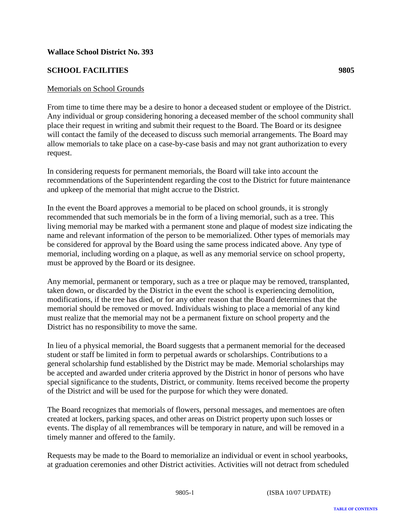## <span id="page-13-0"></span>**SCHOOL FACILITIES 9805**

## Memorials on School Grounds

From time to time there may be a desire to honor a deceased student or employee of the District. Any individual or group considering honoring a deceased member of the school community shall place their request in writing and submit their request to the Board. The Board or its designee will contact the family of the deceased to discuss such memorial arrangements. The Board may allow memorials to take place on a case-by-case basis and may not grant authorization to every request.

In considering requests for permanent memorials, the Board will take into account the recommendations of the Superintendent regarding the cost to the District for future maintenance and upkeep of the memorial that might accrue to the District.

In the event the Board approves a memorial to be placed on school grounds, it is strongly recommended that such memorials be in the form of a living memorial, such as a tree. This living memorial may be marked with a permanent stone and plaque of modest size indicating the name and relevant information of the person to be memorialized. Other types of memorials may be considered for approval by the Board using the same process indicated above. Any type of memorial, including wording on a plaque, as well as any memorial service on school property, must be approved by the Board or its designee.

Any memorial, permanent or temporary, such as a tree or plaque may be removed, transplanted, taken down, or discarded by the District in the event the school is experiencing demolition, modifications, if the tree has died, or for any other reason that the Board determines that the memorial should be removed or moved. Individuals wishing to place a memorial of any kind must realize that the memorial may not be a permanent fixture on school property and the District has no responsibility to move the same.

In lieu of a physical memorial, the Board suggests that a permanent memorial for the deceased student or staff be limited in form to perpetual awards or scholarships. Contributions to a general scholarship fund established by the District may be made. Memorial scholarships may be accepted and awarded under criteria approved by the District in honor of persons who have special significance to the students, District, or community. Items received become the property of the District and will be used for the purpose for which they were donated.

The Board recognizes that memorials of flowers, personal messages, and mementoes are often created at lockers, parking spaces, and other areas on District property upon such losses or events. The display of all remembrances will be temporary in nature, and will be removed in a timely manner and offered to the family.

Requests may be made to the Board to memorialize an individual or event in school yearbooks, at graduation ceremonies and other District activities. Activities will not detract from scheduled